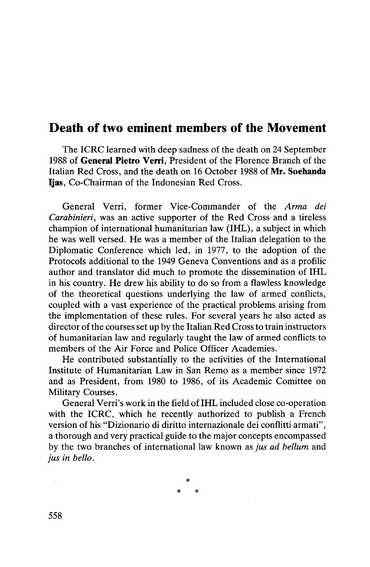## Death of two eminent members of the Movement

The ICRC learned with deep sadness of the death on 24 September 1988 of **General Pietro Verri,** President of the Florence Branch of the Italian Red Cross, and the death on 16 October 1988 of **Mr. Soehanda Ijas,** Co-Chairman of the Indonesian Red Cross.

General Verri, former Vice-Commander of the *Arma dei Carabinieri,* was an active supporter of the Red Cross and a tireless champion of international humanitarian law (IHL), a subject in which he was well versed. He was a member of the Italian delegation to the Diplomatic Conference which led, in 1977, to the adoption of the Protocols additional to the 1949 Geneva Conventions and as a profilic author and translator did much to promote the dissemination of IHL in his country. He drew his ability to do so from a flawless knowledge of the theoretical questions underlying the law of armed conflicts, coupled with a vast experience of the practical problems arising from the implementation of these rules. For several years he also acted as director of the courses set up by the Italian Red Cross to train instructors of humanitarian law and regularly taught the law of armed conflicts to members of the Air Force and Police Officer Academies.

He contributed substantially to the activities of the International Institute of Humanitarian Law in San Remo as a member since 1972 and as President, from 1980 to 1986, of its Academic Comittee on Military Courses.

General Verri's work in the field of IHL included close co-operation with the ICRC, which he recently authorized to publish a French version of his "Dizionario di diritto internazionale dei conflitti armati", a thorough and very practical guide to the major concepts encompassed by the two branches of international law known as *jus ad bellum* and *jus in bello.*

> **\* \* \***